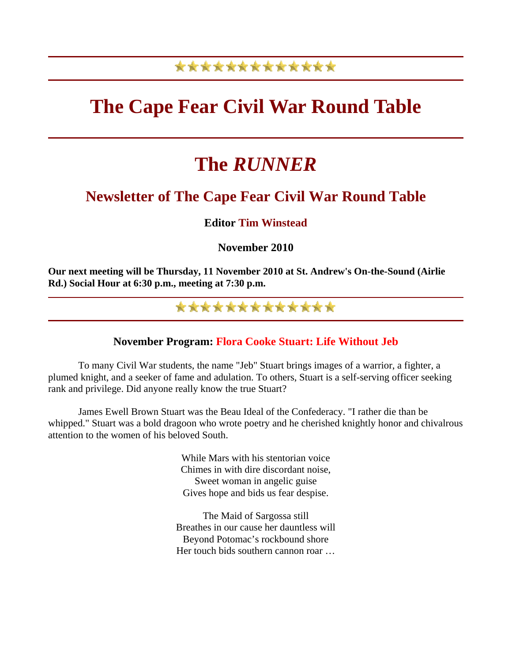## \*\*\*\*\*\*\*\*\*\*\*\*\*

## **The Cape Fear Civil War Round Table**

# **The** *RUNNER*

## **Newsletter of The Cape Fear Civil War Round Table**

#### **Editor Tim Winstead**

#### **November 2010**

**Our next meeting will be Thursday, 11 November 2010 at St. Andrew's On-the-Sound (Airlie Rd.) Social Hour at 6:30 p.m., meeting at 7:30 p.m.**

## \*\*\*\*\*\*\*\*\*\*\*\*\*

#### **November Program: Flora Cooke Stuart: Life Without Jeb**

 To many Civil War students, the name "Jeb" Stuart brings images of a warrior, a fighter, a plumed knight, and a seeker of fame and adulation. To others, Stuart is a self-serving officer seeking rank and privilege. Did anyone really know the true Stuart?

 James Ewell Brown Stuart was the Beau Ideal of the Confederacy. "I rather die than be whipped." Stuart was a bold dragoon who wrote poetry and he cherished knightly honor and chivalrous attention to the women of his beloved South.

> While Mars with his stentorian voice Chimes in with dire discordant noise, Sweet woman in angelic guise Gives hope and bids us fear despise.

The Maid of Sargossa still Breathes in our cause her dauntless will Beyond Potomac's rockbound shore Her touch bids southern cannon roar …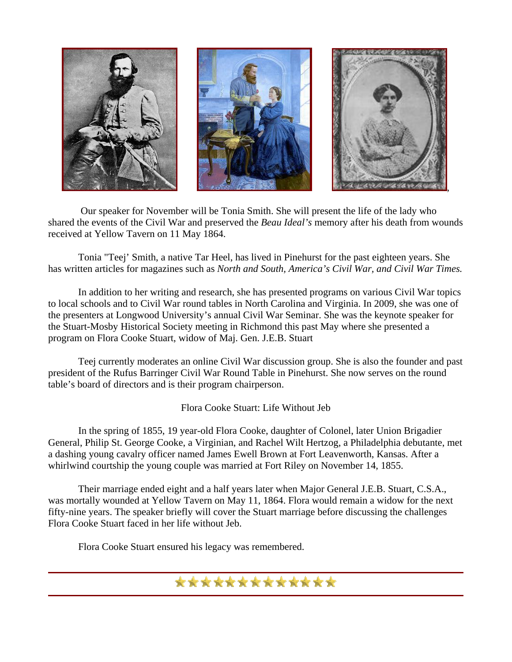

 Our speaker for November will be Tonia Smith. She will present the life of the lady who shared the events of the Civil War and preserved the *Beau Ideal's* memory after his death from wounds received at Yellow Tavern on 11 May 1864.

 Tonia "Teej' Smith, a native Tar Heel, has lived in Pinehurst for the past eighteen years. She has written articles for magazines such as *North and South, America's Civil War, and Civil War Times.* 

 In addition to her writing and research, she has presented programs on various Civil War topics to local schools and to Civil War round tables in North Carolina and Virginia. In 2009, she was one of the presenters at Longwood University's annual Civil War Seminar. She was the keynote speaker for the Stuart-Mosby Historical Society meeting in Richmond this past May where she presented a program on Flora Cooke Stuart, widow of Maj. Gen. J.E.B. Stuart

 Teej currently moderates an online Civil War discussion group. She is also the founder and past president of the Rufus Barringer Civil War Round Table in Pinehurst. She now serves on the round table's board of directors and is their program chairperson.

Flora Cooke Stuart: Life Without Jeb

 In the spring of 1855, 19 year-old Flora Cooke, daughter of Colonel, later Union Brigadier General, Philip St. George Cooke, a Virginian, and Rachel Wilt Hertzog, a Philadelphia debutante, met a dashing young cavalry officer named James Ewell Brown at Fort Leavenworth, Kansas. After a whirlwind courtship the young couple was married at Fort Riley on November 14, 1855.

 Their marriage ended eight and a half years later when Major General J.E.B. Stuart, C.S.A., was mortally wounded at Yellow Tavern on May 11, 1864. Flora would remain a widow for the next fifty-nine years. The speaker briefly will cover the Stuart marriage before discussing the challenges Flora Cooke Stuart faced in her life without Jeb.

Flora Cooke Stuart ensured his legacy was remembered.

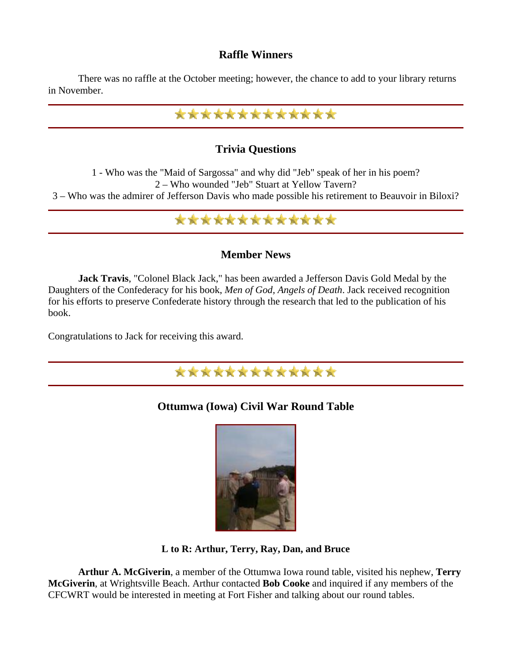#### **Raffle Winners**

 There was no raffle at the October meeting; however, the chance to add to your library returns in November.



#### **Trivia Questions**

1 - Who was the "Maid of Sargossa" and why did "Jeb" speak of her in his poem? 2 – Who wounded "Jeb" Stuart at Yellow Tavern?

3 – Who was the admirer of Jefferson Davis who made possible his retirement to Beauvoir in Biloxi?

### \*\*\*\*\*\*\*\*\*\*\*\*\*

#### **Member News**

 **Jack Travis**, "Colonel Black Jack," has been awarded a Jefferson Davis Gold Medal by the Daughters of the Confederacy for his book, *Men of God, Angels of Death*. Jack received recognition for his efforts to preserve Confederate history through the research that led to the publication of his book.

Congratulations to Jack for receiving this award.



#### **Ottumwa (Iowa) Civil War Round Table**



**L to R: Arthur, Terry, Ray, Dan, and Bruce**

 **Arthur A. McGiverin**, a member of the Ottumwa Iowa round table, visited his nephew, **Terry McGiverin**, at Wrightsville Beach. Arthur contacted **Bob Cooke** and inquired if any members of the CFCWRT would be interested in meeting at Fort Fisher and talking about our round tables.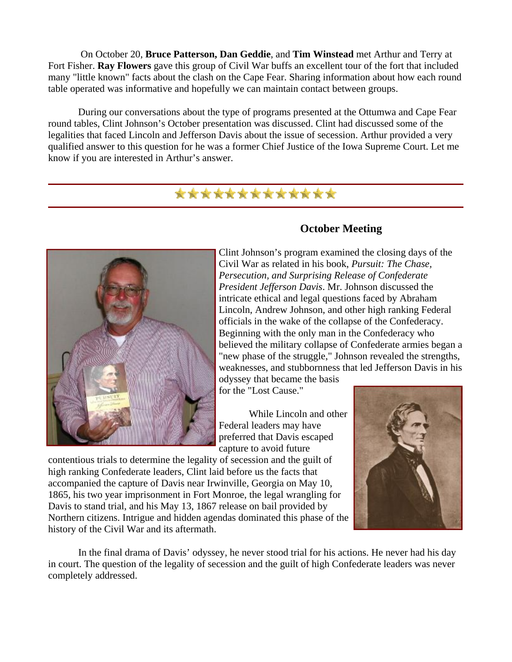On October 20, **Bruce Patterson, Dan Geddie**, and **Tim Winstead** met Arthur and Terry at Fort Fisher. **Ray Flowers** gave this group of Civil War buffs an excellent tour of the fort that included many "little known" facts about the clash on the Cape Fear. Sharing information about how each round table operated was informative and hopefully we can maintain contact between groups.

 During our conversations about the type of programs presented at the Ottumwa and Cape Fear round tables, Clint Johnson's October presentation was discussed. Clint had discussed some of the legalities that faced Lincoln and Jefferson Davis about the issue of secession. Arthur provided a very qualified answer to this question for he was a former Chief Justice of the Iowa Supreme Court. Let me know if you are interested in Arthur's answer.

### \*\*\*\*\*\*\*\*\*\*\*\*\*



#### **October Meeting**

Clint Johnson's program examined the closing days of the Civil War as related in his book, *Pursuit: The Chase, Persecution, and Surprising Release of Confederate President Jefferson Davis*. Mr. Johnson discussed the intricate ethical and legal questions faced by Abraham Lincoln, Andrew Johnson, and other high ranking Federal officials in the wake of the collapse of the Confederacy. Beginning with the only man in the Confederacy who believed the military collapse of Confederate armies began a "new phase of the struggle," Johnson revealed the strengths, weaknesses, and stubbornness that led Jefferson Davis in his odyssey that became the basis

for the "Lost Cause."

 While Lincoln and other Federal leaders may have preferred that Davis escaped capture to avoid future



contentious trials to determine the legality of secession and the guilt of high ranking Confederate leaders, Clint laid before us the facts that accompanied the capture of Davis near Irwinville, Georgia on May 10, 1865, his two year imprisonment in Fort Monroe, the legal wrangling for Davis to stand trial, and his May 13, 1867 release on bail provided by Northern citizens. Intrigue and hidden agendas dominated this phase of the history of the Civil War and its aftermath.

 In the final drama of Davis' odyssey, he never stood trial for his actions. He never had his day in court. The question of the legality of secession and the guilt of high Confederate leaders was never completely addressed.